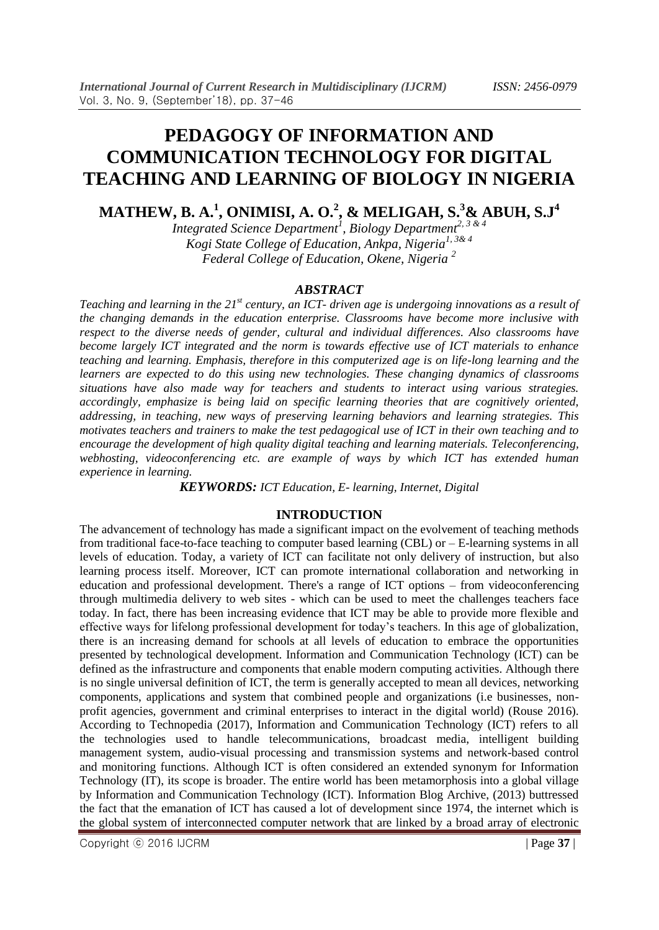# **PEDAGOGY OF INFORMATION AND COMMUNICATION TECHNOLOGY FOR DIGITAL TEACHING AND LEARNING OF BIOLOGY IN NIGERIA**

**MATHEW, B. A.<sup>1</sup> , ONIMISI, A. O.<sup>2</sup> , & MELIGAH, S.<sup>3</sup>& ABUH, S.J<sup>4</sup>**

*Integrated Science Department<sup>1</sup> , Biology Department2, 3 & 4 Kogi State College of Education, Ankpa, Nigeria1, 3& 4 Federal College of Education, Okene, Nigeria <sup>2</sup>*

## *ABSTRACT*

*Teaching and learning in the 21st century, an ICT- driven age is undergoing innovations as a result of the changing demands in the education enterprise. Classrooms have become more inclusive with respect to the diverse needs of gender, cultural and individual differences. Also classrooms have become largely ICT integrated and the norm is towards effective use of ICT materials to enhance teaching and learning. Emphasis, therefore in this computerized age is on life-long learning and the learners are expected to do this using new technologies. These changing dynamics of classrooms situations have also made way for teachers and students to interact using various strategies. accordingly, emphasize is being laid on specific learning theories that are cognitively oriented, addressing, in teaching, new ways of preserving learning behaviors and learning strategies. This motivates teachers and trainers to make the test pedagogical use of ICT in their own teaching and to encourage the development of high quality digital teaching and learning materials. Teleconferencing, webhosting, videoconferencing etc. are example of ways by which ICT has extended human experience in learning.*

*KEYWORDS: ICT Education, E- learning, Internet, Digital*

# **INTRODUCTION**

The advancement of technology has made a significant impact on the evolvement of teaching methods from traditional face-to-face teaching to computer based learning (CBL) or – E-learning systems in all levels of education. Today, a variety of ICT can facilitate not only delivery of instruction, but also learning process itself. Moreover, ICT can promote international collaboration and networking in education and professional development. There's a range of ICT options – from videoconferencing through multimedia delivery to web sites - which can be used to meet the challenges teachers face today. In fact, there has been increasing evidence that ICT may be able to provide more flexible and effective ways for lifelong professional development for today's teachers. In this age of globalization, there is an increasing demand for schools at all levels of education to embrace the opportunities presented by technological development. Information and Communication Technology (ICT) can be defined as the infrastructure and components that enable modern computing activities. Although there is no single universal definition of ICT, the term is generally accepted to mean all devices, networking components, applications and system that combined people and organizations (i.e businesses, nonprofit agencies, government and criminal enterprises to interact in the digital world) (Rouse 2016). According to Technopedia (2017), Information and Communication Technology (ICT) refers to all the technologies used to handle telecommunications, broadcast media, intelligent building management system, audio-visual processing and transmission systems and network-based control and monitoring functions. Although ICT is often considered an extended synonym for Information Technology (IT), its scope is broader. The entire world has been metamorphosis into a global village by Information and Communication Technology (ICT). Information Blog Archive, (2013) buttressed the fact that the emanation of ICT has caused a lot of development since 1974, the internet which is the global system of interconnected computer network that are linked by a broad array of electronic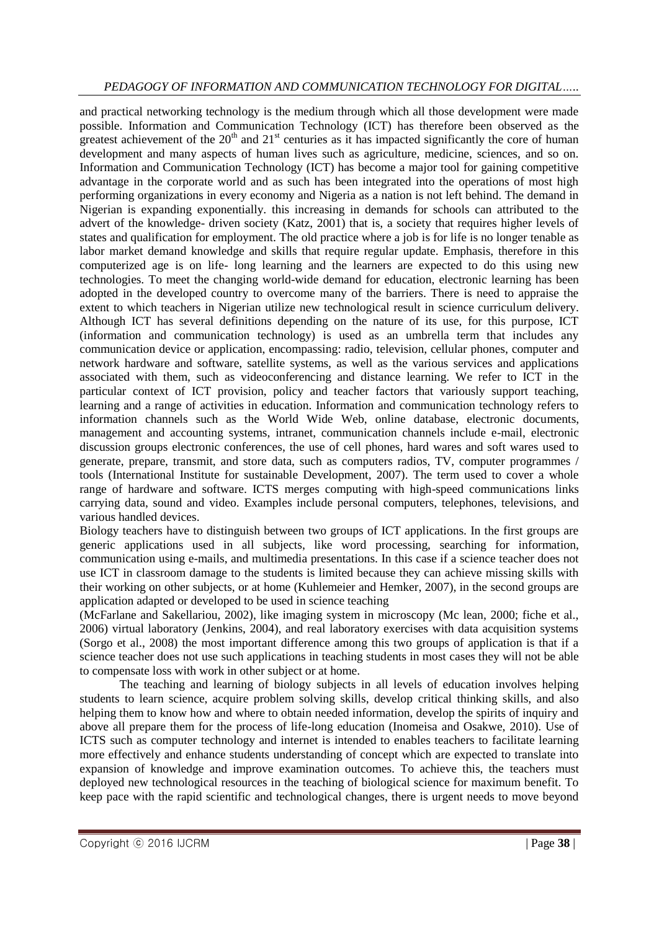and practical networking technology is the medium through which all those development were made possible. Information and Communication Technology (ICT) has therefore been observed as the greatest achievement of the  $20<sup>th</sup>$  and  $21<sup>st</sup>$  centuries as it has impacted significantly the core of human development and many aspects of human lives such as agriculture, medicine, sciences, and so on. Information and Communication Technology (ICT) has become a major tool for gaining competitive advantage in the corporate world and as such has been integrated into the operations of most high performing organizations in every economy and Nigeria as a nation is not left behind. The demand in Nigerian is expanding exponentially. this increasing in demands for schools can attributed to the advert of the knowledge- driven society (Katz, 2001) that is, a society that requires higher levels of states and qualification for employment. The old practice where a job is for life is no longer tenable as labor market demand knowledge and skills that require regular update. Emphasis, therefore in this computerized age is on life- long learning and the learners are expected to do this using new technologies. To meet the changing world-wide demand for education, electronic learning has been adopted in the developed country to overcome many of the barriers. There is need to appraise the extent to which teachers in Nigerian utilize new technological result in science curriculum delivery. Although ICT has several definitions depending on the nature of its use, for this purpose, ICT (information and communication technology) is used as an umbrella term that includes any communication device or application, encompassing: radio, television, cellular phones, computer and network hardware and software, satellite systems, as well as the various services and applications associated with them, such as videoconferencing and distance learning. We refer to ICT in the particular context of ICT provision, policy and teacher factors that variously support teaching, learning and a range of activities in education. Information and communication technology refers to information channels such as the World Wide Web, online database, electronic documents, management and accounting systems, intranet, communication channels include e-mail, electronic discussion groups electronic conferences, the use of cell phones, hard wares and soft wares used to generate, prepare, transmit, and store data, such as computers radios, TV, computer programmes / tools (International Institute for sustainable Development, 2007). The term used to cover a whole range of hardware and software. ICTS merges computing with high-speed communications links carrying data, sound and video. Examples include personal computers, telephones, televisions, and various handled devices.

Biology teachers have to distinguish between two groups of ICT applications. In the first groups are generic applications used in all subjects, like word processing, searching for information, communication using e-mails, and multimedia presentations. In this case if a science teacher does not use ICT in classroom damage to the students is limited because they can achieve missing skills with their working on other subjects, or at home (Kuhlemeier and Hemker, 2007), in the second groups are application adapted or developed to be used in science teaching

(McFarlane and Sakellariou, 2002), like imaging system in microscopy (Mc lean, 2000; fiche et al., 2006) virtual laboratory (Jenkins, 2004), and real laboratory exercises with data acquisition systems (Sorgo et al., 2008) the most important difference among this two groups of application is that if a science teacher does not use such applications in teaching students in most cases they will not be able to compensate loss with work in other subject or at home.

The teaching and learning of biology subjects in all levels of education involves helping students to learn science, acquire problem solving skills, develop critical thinking skills, and also helping them to know how and where to obtain needed information, develop the spirits of inquiry and above all prepare them for the process of life-long education (Inomeisa and Osakwe, 2010). Use of ICTS such as computer technology and internet is intended to enables teachers to facilitate learning more effectively and enhance students understanding of concept which are expected to translate into expansion of knowledge and improve examination outcomes. To achieve this, the teachers must deployed new technological resources in the teaching of biological science for maximum benefit. To keep pace with the rapid scientific and technological changes, there is urgent needs to move beyond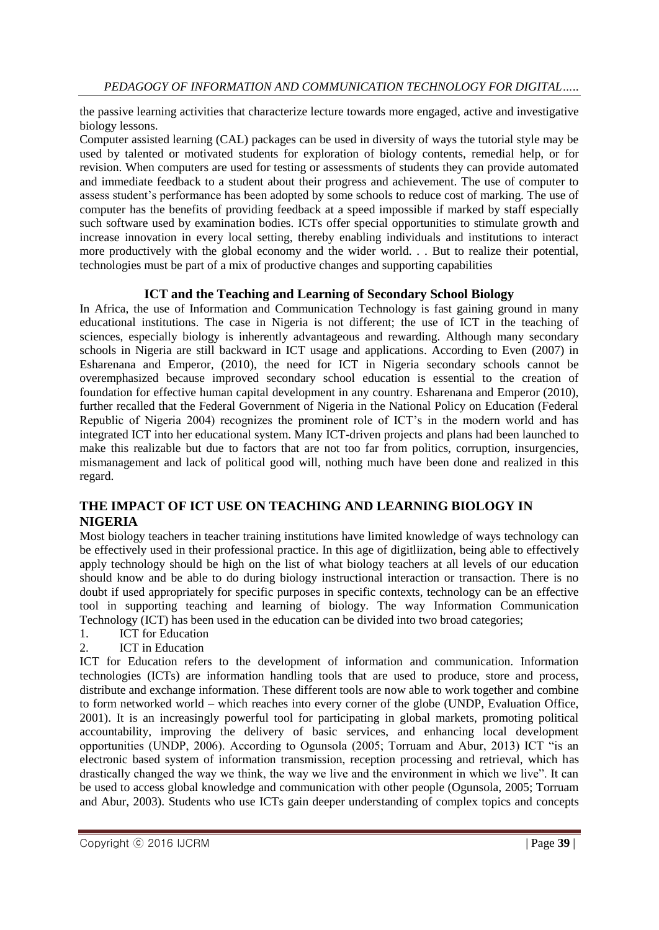the passive learning activities that characterize lecture towards more engaged, active and investigative biology lessons.

Computer assisted learning (CAL) packages can be used in diversity of ways the tutorial style may be used by talented or motivated students for exploration of biology contents, remedial help, or for revision. When computers are used for testing or assessments of students they can provide automated and immediate feedback to a student about their progress and achievement. The use of computer to assess student's performance has been adopted by some schools to reduce cost of marking. The use of computer has the benefits of providing feedback at a speed impossible if marked by staff especially such software used by examination bodies. ICTs offer special opportunities to stimulate growth and increase innovation in every local setting, thereby enabling individuals and institutions to interact more productively with the global economy and the wider world. . . But to realize their potential, technologies must be part of a mix of productive changes and supporting capabilities

## **ICT and the Teaching and Learning of Secondary School Biology**

In Africa, the use of Information and Communication Technology is fast gaining ground in many educational institutions. The case in Nigeria is not different; the use of ICT in the teaching of sciences, especially biology is inherently advantageous and rewarding. Although many secondary schools in Nigeria are still backward in ICT usage and applications. According to Even (2007) in Esharenana and Emperor, (2010), the need for ICT in Nigeria secondary schools cannot be overemphasized because improved secondary school education is essential to the creation of foundation for effective human capital development in any country. Esharenana and Emperor (2010), further recalled that the Federal Government of Nigeria in the National Policy on Education (Federal Republic of Nigeria 2004) recognizes the prominent role of ICT's in the modern world and has integrated ICT into her educational system. Many ICT-driven projects and plans had been launched to make this realizable but due to factors that are not too far from politics, corruption, insurgencies, mismanagement and lack of political good will, nothing much have been done and realized in this regard.

# **THE IMPACT OF ICT USE ON TEACHING AND LEARNING BIOLOGY IN NIGERIA**

Most biology teachers in teacher training institutions have limited knowledge of ways technology can be effectively used in their professional practice. In this age of digitliization, being able to effectively apply technology should be high on the list of what biology teachers at all levels of our education should know and be able to do during biology instructional interaction or transaction. There is no doubt if used appropriately for specific purposes in specific contexts, technology can be an effective tool in supporting teaching and learning of biology. The way Information Communication Technology (ICT) has been used in the education can be divided into two broad categories;

- 1. ICT for Education
- 2. ICT in Education

ICT for Education refers to the development of information and communication. Information technologies (ICTs) are information handling tools that are used to produce, store and process, distribute and exchange information. These different tools are now able to work together and combine to form networked world – which reaches into every corner of the globe (UNDP, Evaluation Office, 2001). It is an increasingly powerful tool for participating in global markets, promoting political accountability, improving the delivery of basic services, and enhancing local development opportunities (UNDP, 2006). According to Ogunsola (2005; Torruam and Abur, 2013) ICT "is an electronic based system of information transmission, reception processing and retrieval, which has drastically changed the way we think, the way we live and the environment in which we live". It can be used to access global knowledge and communication with other people (Ogunsola, 2005; Torruam and Abur, 2003). Students who use ICTs gain deeper understanding of complex topics and concepts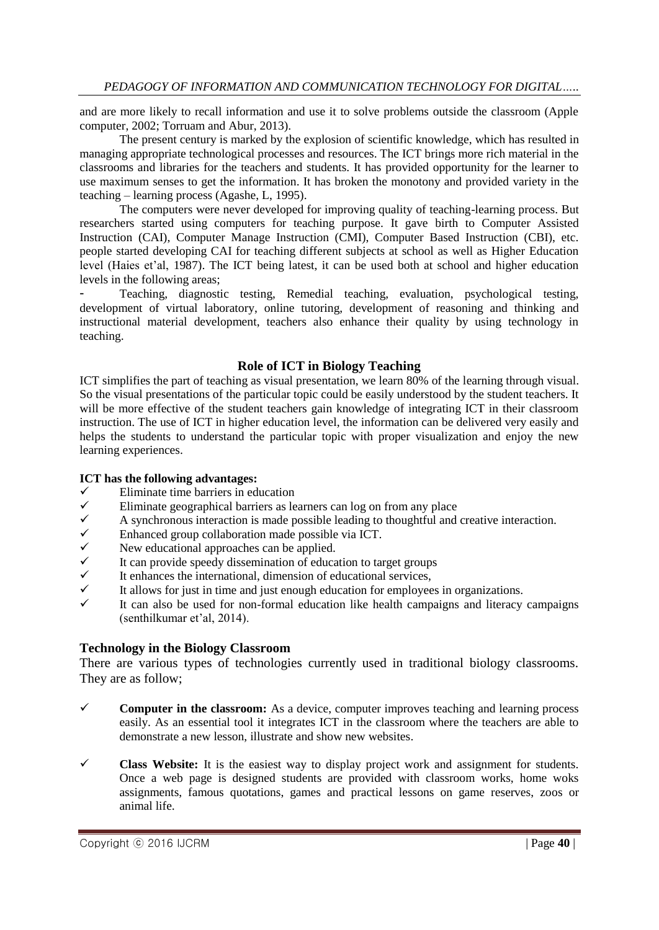and are more likely to recall information and use it to solve problems outside the classroom (Apple computer, 2002; Torruam and Abur, 2013).

The present century is marked by the explosion of scientific knowledge, which has resulted in managing appropriate technological processes and resources. The ICT brings more rich material in the classrooms and libraries for the teachers and students. It has provided opportunity for the learner to use maximum senses to get the information. It has broken the monotony and provided variety in the teaching – learning process (Agashe, L, 1995).

The computers were never developed for improving quality of teaching-learning process. But researchers started using computers for teaching purpose. It gave birth to Computer Assisted Instruction (CAI), Computer Manage Instruction (CMI), Computer Based Instruction (CBI), etc. people started developing CAI for teaching different subjects at school as well as Higher Education level (Haies et'al, 1987). The ICT being latest, it can be used both at school and higher education levels in the following areas;

- Teaching, diagnostic testing, Remedial teaching, evaluation, psychological testing, development of virtual laboratory, online tutoring, development of reasoning and thinking and instructional material development, teachers also enhance their quality by using technology in teaching.

## **Role of ICT in Biology Teaching**

ICT simplifies the part of teaching as visual presentation, we learn 80% of the learning through visual. So the visual presentations of the particular topic could be easily understood by the student teachers. It will be more effective of the student teachers gain knowledge of integrating ICT in their classroom instruction. The use of ICT in higher education level, the information can be delivered very easily and helps the students to understand the particular topic with proper visualization and enjoy the new learning experiences.

## **ICT has the following advantages:**

- $\checkmark$  Eliminate time barriers in education<br> $\checkmark$  Eliminate geographical barriers as le
- Eliminate geographical barriers as learners can log on from any place  $\checkmark$  A synchronous interaction is made possible leading to thoughtful and
- A synchronous interaction is made possible leading to thoughtful and creative interaction.<br>
A synchronous interaction made possible via ICT.<br>
A New educational approaches can be applied.<br>
It can provide speedy disseminati
- Enhanced group collaboration made possible via ICT.
- New educational approaches can be applied.
- It can provide speedy dissemination of education to target groups
- It enhances the international, dimension of educational services,
- It allows for just in time and just enough education for employees in organizations.
- It can also be used for non-formal education like health campaigns and literacy campaigns (senthilkumar et'al, 2014).

## **Technology in the Biology Classroom**

There are various types of technologies currently used in traditional biology classrooms. They are as follow;

- **Computer in the classroom:** As a device, computer improves teaching and learning process easily. As an essential tool it integrates ICT in the classroom where the teachers are able to demonstrate a new lesson, illustrate and show new websites.
- **Class Website:** It is the easiest way to display project work and assignment for students. Once a web page is designed students are provided with classroom works, home woks assignments, famous quotations, games and practical lessons on game reserves, zoos or animal life.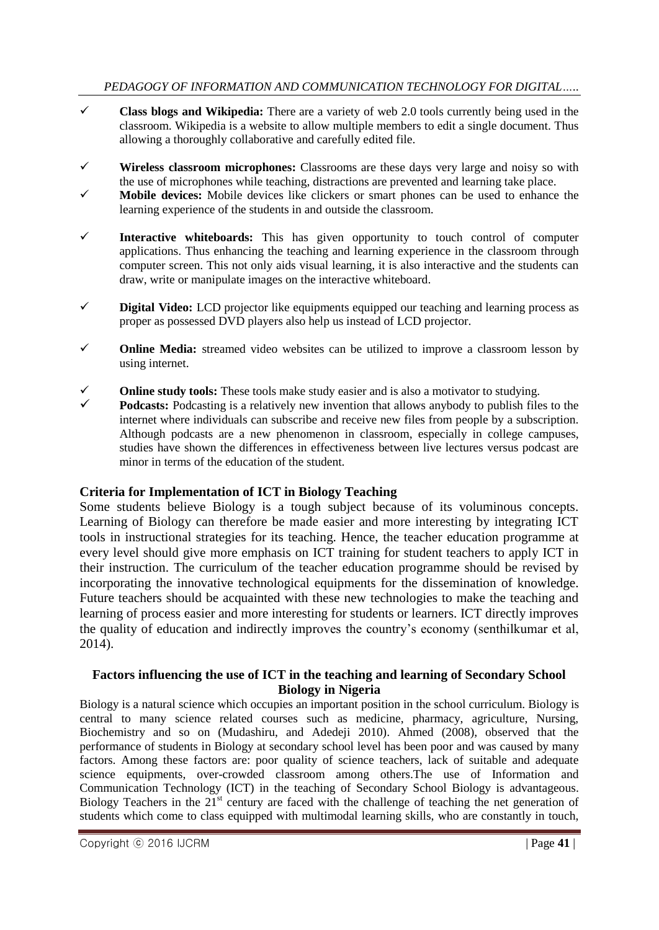- **Class blogs and Wikipedia:** There are a variety of web 2.0 tools currently being used in the classroom. Wikipedia is a website to allow multiple members to edit a single document. Thus allowing a thoroughly collaborative and carefully edited file.
- **Wireless classroom microphones:** Classrooms are these days very large and noisy so with the use of microphones while teaching, distractions are prevented and learning take place.
- **Mobile devices:** Mobile devices like clickers or smart phones can be used to enhance the learning experience of the students in and outside the classroom.
- **Interactive whiteboards:** This has given opportunity to touch control of computer applications. Thus enhancing the teaching and learning experience in the classroom through computer screen. This not only aids visual learning, it is also interactive and the students can draw, write or manipulate images on the interactive whiteboard.
- **Digital Video:** LCD projector like equipments equipped our teaching and learning process as proper as possessed DVD players also help us instead of LCD projector.
- **Online Media:** streamed video websites can be utilized to improve a classroom lesson by using internet.
- **Online study tools:** These tools make study easier and is also a motivator to studying.
- **Podcasts:** Podcasting is a relatively new invention that allows anybody to publish files to the internet where individuals can subscribe and receive new files from people by a subscription. Although podcasts are a new phenomenon in classroom, especially in college campuses, studies have shown the differences in effectiveness between live lectures versus podcast are minor in terms of the education of the student.

# **Criteria for Implementation of ICT in Biology Teaching**

Some students believe Biology is a tough subject because of its voluminous concepts. Learning of Biology can therefore be made easier and more interesting by integrating ICT tools in instructional strategies for its teaching. Hence, the teacher education programme at every level should give more emphasis on ICT training for student teachers to apply ICT in their instruction. The curriculum of the teacher education programme should be revised by incorporating the innovative technological equipments for the dissemination of knowledge. Future teachers should be acquainted with these new technologies to make the teaching and learning of process easier and more interesting for students or learners. ICT directly improves the quality of education and indirectly improves the country's economy (senthilkumar et al, 2014).

## **Factors influencing the use of ICT in the teaching and learning of Secondary School Biology in Nigeria**

Biology is a natural science which occupies an important position in the school curriculum. Biology is central to many science related courses such as medicine, pharmacy, agriculture, Nursing, Biochemistry and so on (Mudashiru, and Adedeji 2010). Ahmed (2008), observed that the performance of students in Biology at secondary school level has been poor and was caused by many factors. Among these factors are: poor quality of science teachers, lack of suitable and adequate science equipments, over-crowded classroom among others.The use of Information and Communication Technology (ICT) in the teaching of Secondary School Biology is advantageous. Biology Teachers in the  $21<sup>st</sup>$  century are faced with the challenge of teaching the net generation of students which come to class equipped with multimodal learning skills, who are constantly in touch,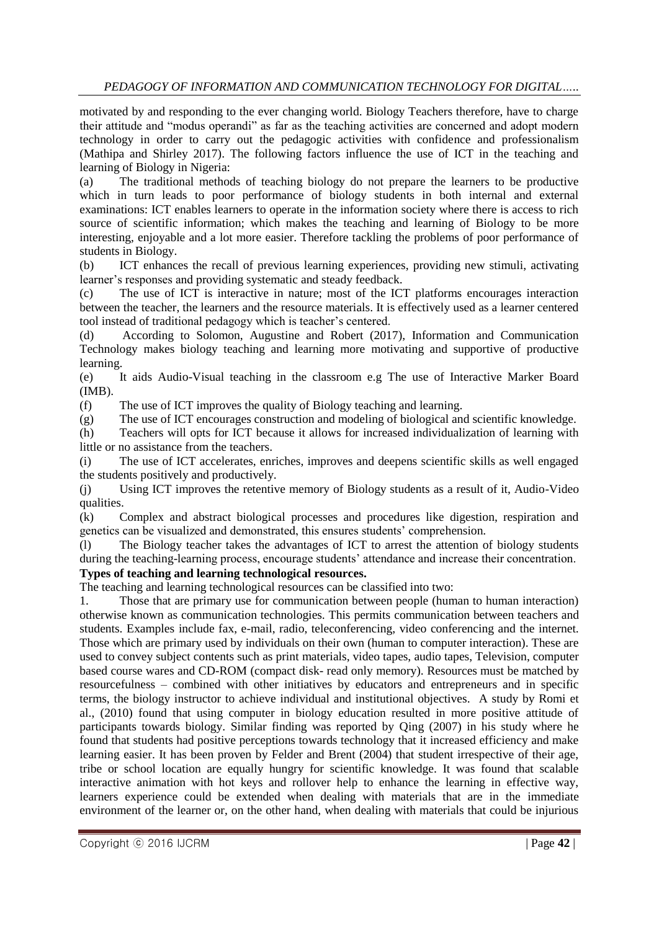motivated by and responding to the ever changing world. Biology Teachers therefore, have to charge their attitude and "modus operandi" as far as the teaching activities are concerned and adopt modern technology in order to carry out the pedagogic activities with confidence and professionalism (Mathipa and Shirley 2017). The following factors influence the use of ICT in the teaching and learning of Biology in Nigeria:

(a) The traditional methods of teaching biology do not prepare the learners to be productive which in turn leads to poor performance of biology students in both internal and external examinations: ICT enables learners to operate in the information society where there is access to rich source of scientific information; which makes the teaching and learning of Biology to be more interesting, enjoyable and a lot more easier. Therefore tackling the problems of poor performance of students in Biology.

(b) ICT enhances the recall of previous learning experiences, providing new stimuli, activating learner's responses and providing systematic and steady feedback.

(c) The use of ICT is interactive in nature; most of the ICT platforms encourages interaction between the teacher, the learners and the resource materials. It is effectively used as a learner centered tool instead of traditional pedagogy which is teacher's centered.

(d) According to Solomon, Augustine and Robert (2017), Information and Communication Technology makes biology teaching and learning more motivating and supportive of productive learning.

(e) It aids Audio-Visual teaching in the classroom e.g The use of Interactive Marker Board (IMB).

(f) The use of ICT improves the quality of Biology teaching and learning.

(g) The use of ICT encourages construction and modeling of biological and scientific knowledge.

(h) Teachers will opts for ICT because it allows for increased individualization of learning with little or no assistance from the teachers.

(i) The use of ICT accelerates, enriches, improves and deepens scientific skills as well engaged the students positively and productively.

(j) Using ICT improves the retentive memory of Biology students as a result of it, Audio-Video qualities.

(k) Complex and abstract biological processes and procedures like digestion, respiration and genetics can be visualized and demonstrated, this ensures students' comprehension.

(l) The Biology teacher takes the advantages of ICT to arrest the attention of biology students during the teaching-learning process, encourage students' attendance and increase their concentration. **Types of teaching and learning technological resources.**

The teaching and learning technological resources can be classified into two:

1. Those that are primary use for communication between people (human to human interaction) otherwise known as communication technologies. This permits communication between teachers and students. Examples include fax, e-mail, radio, teleconferencing, video conferencing and the internet. Those which are primary used by individuals on their own (human to computer interaction). These are used to convey subject contents such as print materials, video tapes, audio tapes, Television, computer based course wares and CD-ROM (compact disk- read only memory). Resources must be matched by resourcefulness – combined with other initiatives by educators and entrepreneurs and in specific terms, the biology instructor to achieve individual and institutional objectives. A study by Romi et al., (2010) found that using computer in biology education resulted in more positive attitude of participants towards biology. Similar finding was reported by Qing (2007) in his study where he found that students had positive perceptions towards technology that it increased efficiency and make learning easier. It has been proven by Felder and Brent (2004) that student irrespective of their age, tribe or school location are equally hungry for scientific knowledge. It was found that scalable interactive animation with hot keys and rollover help to enhance the learning in effective way, learners experience could be extended when dealing with materials that are in the immediate environment of the learner or, on the other hand, when dealing with materials that could be injurious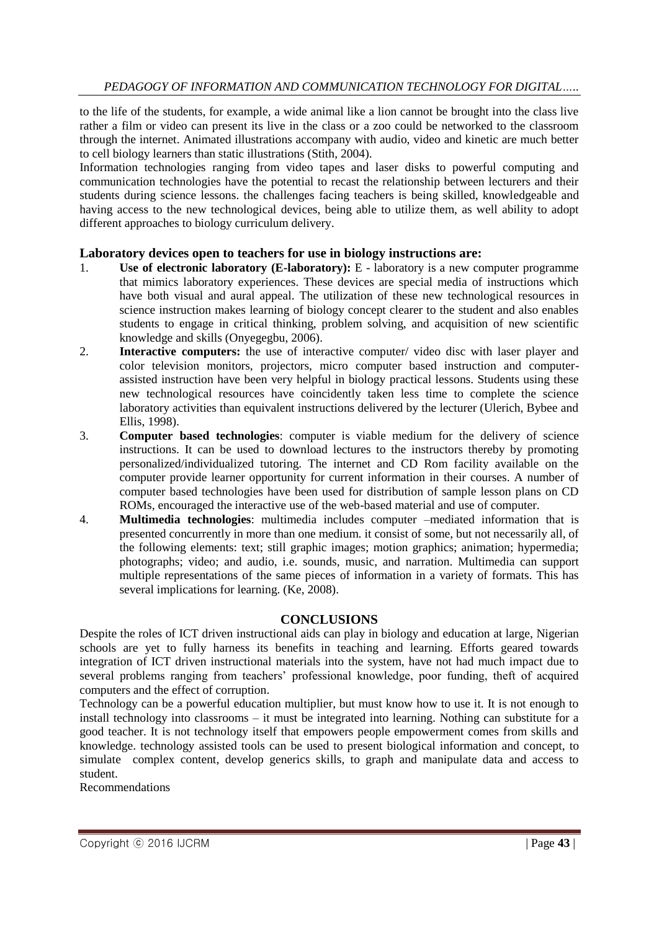to the life of the students, for example, a wide animal like a lion cannot be brought into the class live rather a film or video can present its live in the class or a zoo could be networked to the classroom through the internet. Animated illustrations accompany with audio, video and kinetic are much better to cell biology learners than static illustrations (Stith, 2004).

Information technologies ranging from video tapes and laser disks to powerful computing and communication technologies have the potential to recast the relationship between lecturers and their students during science lessons. the challenges facing teachers is being skilled, knowledgeable and having access to the new technological devices, being able to utilize them, as well ability to adopt different approaches to biology curriculum delivery.

## **Laboratory devices open to teachers for use in biology instructions are:**

- 1. **Use of electronic laboratory (E-laboratory):** E laboratory is a new computer programme that mimics laboratory experiences. These devices are special media of instructions which have both visual and aural appeal. The utilization of these new technological resources in science instruction makes learning of biology concept clearer to the student and also enables students to engage in critical thinking, problem solving, and acquisition of new scientific knowledge and skills (Onyegegbu, 2006).
- 2. **Interactive computers:** the use of interactive computer/ video disc with laser player and color television monitors, projectors, micro computer based instruction and computerassisted instruction have been very helpful in biology practical lessons. Students using these new technological resources have coincidently taken less time to complete the science laboratory activities than equivalent instructions delivered by the lecturer (Ulerich, Bybee and Ellis, 1998).
- 3. **Computer based technologies**: computer is viable medium for the delivery of science instructions. It can be used to download lectures to the instructors thereby by promoting personalized/individualized tutoring. The internet and CD Rom facility available on the computer provide learner opportunity for current information in their courses. A number of computer based technologies have been used for distribution of sample lesson plans on CD ROMs, encouraged the interactive use of the web-based material and use of computer.
- 4. **Multimedia technologies**: multimedia includes computer –mediated information that is presented concurrently in more than one medium. it consist of some, but not necessarily all, of the following elements: text; still graphic images; motion graphics; animation; hypermedia; photographs; video; and audio, i.e. sounds, music, and narration. Multimedia can support multiple representations of the same pieces of information in a variety of formats. This has several implications for learning. (Ke, 2008).

## **CONCLUSIONS**

Despite the roles of ICT driven instructional aids can play in biology and education at large, Nigerian schools are yet to fully harness its benefits in teaching and learning. Efforts geared towards integration of ICT driven instructional materials into the system, have not had much impact due to several problems ranging from teachers' professional knowledge, poor funding, theft of acquired computers and the effect of corruption.

Technology can be a powerful education multiplier, but must know how to use it. It is not enough to install technology into classrooms – it must be integrated into learning. Nothing can substitute for a good teacher. It is not technology itself that empowers people empowerment comes from skills and knowledge. technology assisted tools can be used to present biological information and concept, to simulate complex content, develop generics skills, to graph and manipulate data and access to student.

Recommendations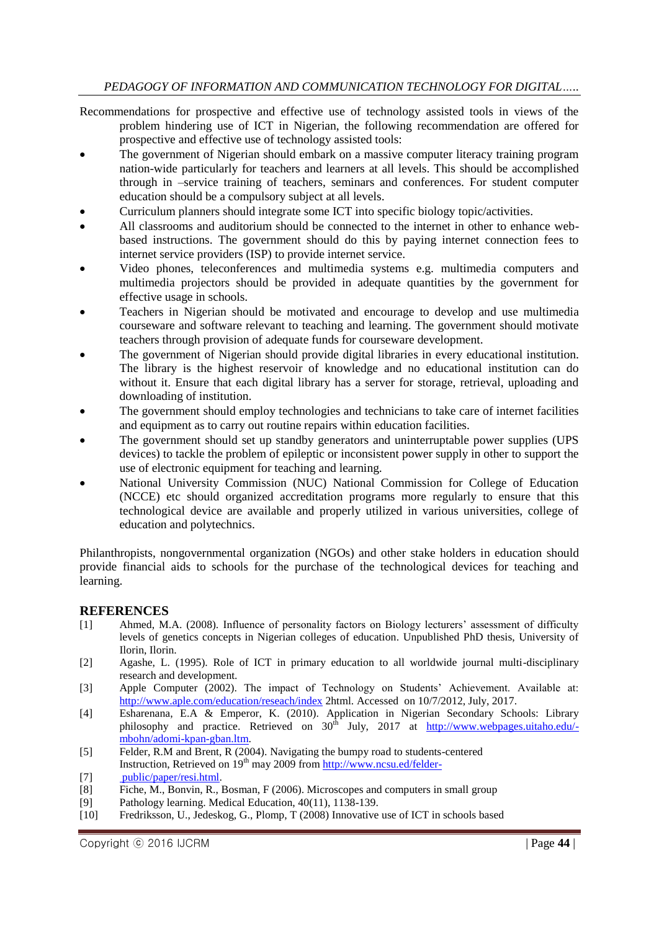Recommendations for prospective and effective use of technology assisted tools in views of the problem hindering use of ICT in Nigerian, the following recommendation are offered for prospective and effective use of technology assisted tools:

- The government of Nigerian should embark on a massive computer literacy training program nation-wide particularly for teachers and learners at all levels. This should be accomplished through in –service training of teachers, seminars and conferences. For student computer education should be a compulsory subject at all levels.
- Curriculum planners should integrate some ICT into specific biology topic/activities.
- All classrooms and auditorium should be connected to the internet in other to enhance webbased instructions. The government should do this by paying internet connection fees to internet service providers (ISP) to provide internet service.
- Video phones, teleconferences and multimedia systems e.g. multimedia computers and multimedia projectors should be provided in adequate quantities by the government for effective usage in schools.
- Teachers in Nigerian should be motivated and encourage to develop and use multimedia courseware and software relevant to teaching and learning. The government should motivate teachers through provision of adequate funds for courseware development.
- The government of Nigerian should provide digital libraries in every educational institution. The library is the highest reservoir of knowledge and no educational institution can do without it. Ensure that each digital library has a server for storage, retrieval, uploading and downloading of institution.
- The government should employ technologies and technicians to take care of internet facilities and equipment as to carry out routine repairs within education facilities.
- The government should set up standby generators and uninterruptable power supplies (UPS devices) to tackle the problem of epileptic or inconsistent power supply in other to support the use of electronic equipment for teaching and learning.
- National University Commission (NUC) National Commission for College of Education (NCCE) etc should organized accreditation programs more regularly to ensure that this technological device are available and properly utilized in various universities, college of education and polytechnics.

Philanthropists, nongovernmental organization (NGOs) and other stake holders in education should provide financial aids to schools for the purchase of the technological devices for teaching and learning.

# **REFERENCES**

- [1] Ahmed, M.A. (2008). Influence of personality factors on Biology lecturers' assessment of difficulty levels of genetics concepts in Nigerian colleges of education. Unpublished PhD thesis, University of Ilorin, Ilorin.
- [2] Agashe, L. (1995). Role of ICT in primary education to all worldwide journal multi-disciplinary research and development.
- [3] Apple Computer (2002). The impact of Technology on Students' Achievement. Available at: <http://www.aple.com/education/reseach/index> 2html. Accessed on 10/7/2012, July, 2017.
- [4] Esharenana, E.A & Emperor, K. (2010). Application in Nigerian Secondary Schools: Library philosophy and practice. Retrieved on 30<sup>th</sup> July, 2017 at [http://www.webpages.uitaho.edu/](http://www.webpages.uitaho.edu/-mbohn/adomi-kpan-gban.ltm) [mbohn/adomi-kpan-gban.ltm.](http://www.webpages.uitaho.edu/-mbohn/adomi-kpan-gban.ltm)
- [5] Felder, R.M and Brent, R (2004). Navigating the bumpy road to students-centered Instruction, Retrieved on  $19<sup>th</sup>$  may 2009 from http://www.ncsu.ed/felder-
- [7] [public/paper/resi.html.](http://www.ncsu.ed/felder-%20%20%20%20%20%20%20%20%20%20%20%20public/paper/resi.html)
- [8] Fiche, M., Bonvin, R., Bosman, F (2006). Microscopes and computers in small group
- [9] Pathology learning. Medical Education, 40(11), 1138-139.
- [10] Fredriksson, U., Jedeskog, G., Plomp, T (2008) Innovative use of ICT in schools based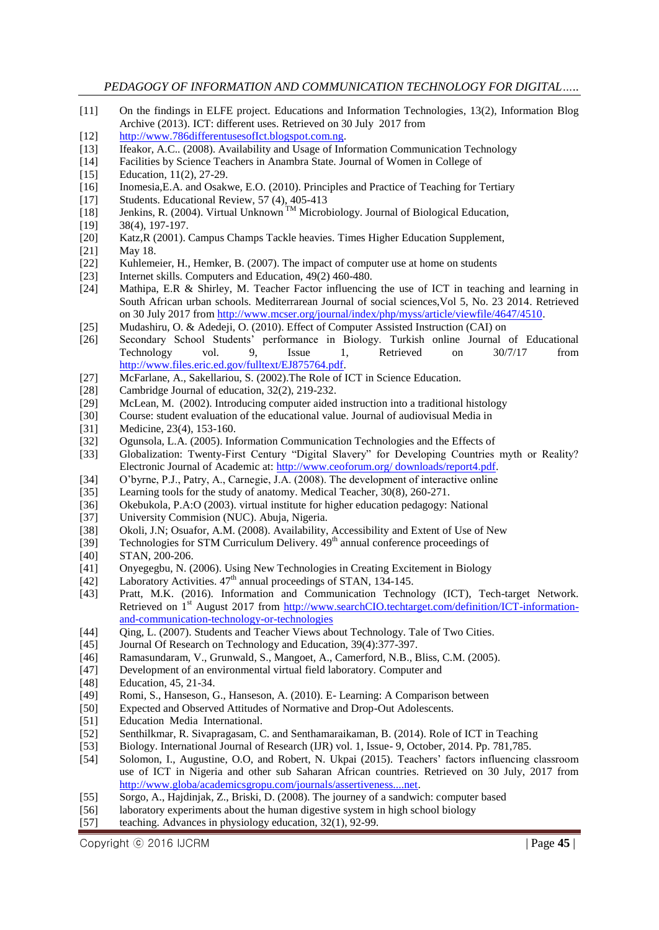- [11] On the findings in ELFE project. Educations and Information Technologies, 13(2), Information Blog Archive (2013). ICT: different uses. Retrieved on 30 July 2017 from
- [12] [http://www.786differentusesofIct.blogspot.com.ng.](http://www.786differentusesofict.blogspot.com.ng/)
- [13] Ifeakor, A.C.. (2008). Availability and Usage of Information Communication Technology
- [14] Facilities by Science Teachers in Anambra State. Journal of Women in College of
- [15] Education, 11(2), 27-29.
- [16] Inomesia,E.A. and Osakwe, E.O. (2010). Principles and Practice of Teaching for Tertiary
- [17] Students. Educational Review, 57 (4), 405-413
- [18] Jenkins, R. (2004). Virtual Unknown<sup>TM</sup> Microbiology. Journal of Biological Education,
- [19] 38(4), 197-197.
- [20] Katz,R (2001). Campus Champs Tackle heavies. Times Higher Education Supplement,
- [21] May 18.
- [22] Kuhlemeier, H., Hemker, B. (2007). The impact of computer use at home on students
- [23] Internet skills. Computers and Education, 49(2) 460-480.
- [24] Mathipa, E.R & Shirley, M. Teacher Factor influencing the use of ICT in teaching and learning in South African urban schools. Mediterrarean Journal of social sciences,Vol 5, No. 23 2014. Retrieved on 30 July 2017 fro[m http://www.mcser.org/journal/index/php/myss/article/viewfile/4647/4510.](http://www.mcser.org/journal/index/php/myss/article/viewfile/4647/4510)
- [25] Mudashiru, O. & Adedeji, O. (2010). Effect of Computer Assisted Instruction (CAI) on
- [26] Secondary School Students' performance in Biology. Turkish online Journal of Educational Technology vol. 9, Issue 1, Retrieved on 30/7/17 from [http://www.files.eric.ed.gov/fulltext/EJ875764.pdf.](http://www.files.eric.ed.gov/fulltext/EJ875764.pdf)
- [27] McFarlane, A., Sakellariou, S. (2002).The Role of ICT in Science Education.
- [28] Cambridge Journal of education, 32(2), 219-232.
- [29] McLean, M. (2002). Introducing computer aided instruction into a traditional histology
- [30] Course: student evaluation of the educational value. Journal of audiovisual Media in
- [31] Medicine, 23(4), 153-160.
- [32] Ogunsola, L.A. (2005). Information Communication Technologies and the Effects of
- [33] Globalization: Twenty-First Century "Digital Slavery" for Developing Countries myth or Reality? Electronic Journal of Academic at: [http://www.ceoforum.org/ downloads/report4.pdf.](http://www.ceoforum.org/%20downloads/report4.pdf)
- [34] O'byrne, P.J., Patry, A., Carnegie, J.A. (2008). The development of interactive online
- [35] Learning tools for the study of anatomy. Medical Teacher, 30(8), 260-271.
- [36] Okebukola, P.A:O (2003). virtual institute for higher education pedagogy: National
- [37] University Commision (NUC). Abuja, Nigeria.
- [38] Okoli, J.N; Osuafor, A.M. (2008). Availability, Accessibility and Extent of Use of New
- [39] Technologies for STM Curriculum Delivery.  $49<sup>th</sup>$  annual conference proceedings of
- [40] STAN, 200-206.
- [41] Onyegegbu, N. (2006). Using New Technologies in Creating Excitement in Biology
- [42] Laboratory Activities.  $47<sup>th</sup>$  annual proceedings of STAN, 134-145.
- [43] Pratt, M.K. (2016). Information and Communication Technology (ICT), Tech-target Network. Retrieved on 1<sup>st</sup> August 2017 from [http://www.searchCIO.techtarget.com/definition/ICT-information](http://www.searchcio.techtarget.com/definition/ICT-information-and-communication-technology-or-technologies)[and-communication-technology-or-technologies](http://www.searchcio.techtarget.com/definition/ICT-information-and-communication-technology-or-technologies)
- [44] Qing, L. (2007). Students and Teacher Views about Technology. Tale of Two Cities.
- [45] Journal Of Research on Technology and Education, 39(4):377-397.
- [46] Ramasundaram, V., Grunwald, S., Mangoet, A., Camerford, N.B., Bliss, C.M. (2005).
- [47] Development of an environmental virtual field laboratory. Computer and
- [48] Education, 45, 21-34.
- [49] Romi, S., Hanseson, G., Hanseson, A. (2010). E- Learning: A Comparison between
- [50] Expected and Observed Attitudes of Normative and Drop-Out Adolescents.
- [51] Education Media International.
- [52] Senthilkmar, R. Sivapragasam, C. and Senthamaraikaman, B. (2014). Role of ICT in Teaching
- [53] Biology. International Journal of Research (IJR) vol. 1, Issue- 9, October, 2014. Pp. 781,785.
- [54] Solomon, I., Augustine, O.O, and Robert, N. Ukpai (2015). Teachers' factors influencing classroom use of ICT in Nigeria and other sub Saharan African countries. Retrieved on 30 July, 2017 from [http://www.globa/academicsgropu.com/journals/assertiveness....net.](http://www.globa/academicsgropu.com/journals/assertiveness....net)
- [55] Sorgo, A., Hajdinjak, Z., Briski, D. (2008). The journey of a sandwich: computer based
- [56] laboratory experiments about the human digestive system in high school biology
- [57] teaching. Advances in physiology education, 32(1), 92-99.